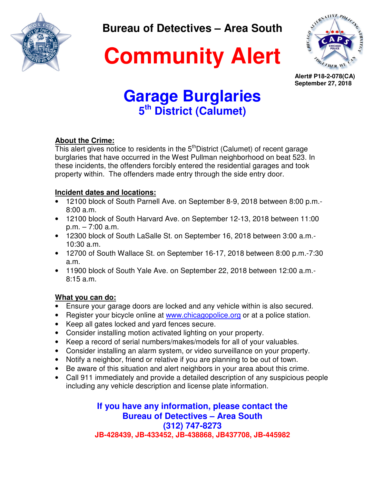

**Bureau of Detectives – Area South** 



**Community Alert**

**Alert# P18-2-078(CA) September 27, 2018**

# **Garage Burglaries 5 th District (Calumet)**

### **About the Crime:**

This alert gives notice to residents in the  $5<sup>th</sup>$ District (Calumet) of recent garage burglaries that have occurred in the West Pullman neighborhood on beat 523. In these incidents, the offenders forcibly entered the residential garages and took property within. The offenders made entry through the side entry door.

### **Incident dates and locations:**

- 12100 block of South Parnell Ave. on September 8-9, 2018 between 8:00 p.m.- 8:00 a.m.
- 12100 block of South Harvard Ave. on September 12-13, 2018 between 11:00 p.m. – 7:00 a.m.
- 12300 block of South LaSalle St. on September 16, 2018 between 3:00 a.m.- 10:30 a.m.
- 12700 of South Wallace St. on September 16-17, 2018 between 8:00 p.m.-7:30 a.m.
- 11900 block of South Yale Ave. on September 22, 2018 between 12:00 a.m.- 8:15 a.m.

### **What you can do:**

- Ensure your garage doors are locked and any vehicle within is also secured.
- Register your bicycle online at www.chicagopolice.org or at a police station.
- Keep all gates locked and yard fences secure.
- Consider installing motion activated lighting on your property.
- Keep a record of serial numbers/makes/models for all of your valuables.
- Consider installing an alarm system, or video surveillance on your property.
- Notify a neighbor, friend or relative if you are planning to be out of town.
- Be aware of this situation and alert neighbors in your area about this crime.
- Call 911 immediately and provide a detailed description of any suspicious people including any vehicle description and license plate information.

**If you have any information, please contact the Bureau of Detectives – Area South (312) 747-8273 JB-428439, JB-433452, JB-438868, JB437708, JB-445982**